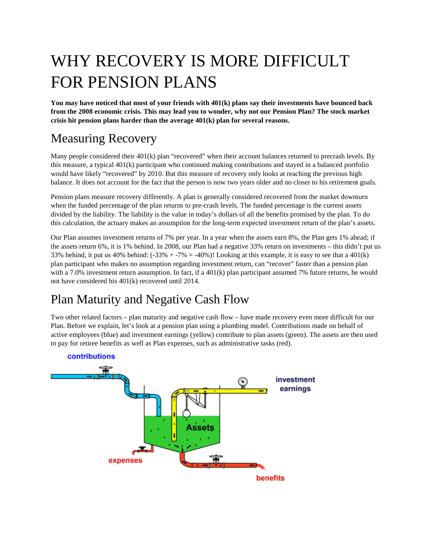## WHY RECOVERY IS MORE DIFFICULT FOR PENSION PLANS

**You may have noticed that most of your friends with 401(k) plans say their investments have bounced back from the 2008 economic crisis. This may lead you to wonder, why not our Pension Plan? The stock market crisis hit pension plans harder than the average 401(k) plan for several reasons.**

## Measuring Recovery

Many people considered their  $401(k)$  plan "recovered" when their account balances returned to precrash levels. By this measure, a typical 401(k) participant who continued making contributions and stayed in a balanced portfolio would have likely "recovered" by 2010. But this measure of recovery only looks at reaching the previous high balance. It does not account for the fact that the person is now two years older and no closer to his retirement goals.

Pension plans measure recovery differently. A plan is generally considered recovered from the market downturn when the funded percentage of the plan returns to pre-crash levels. The funded percentage is the current assets divided by the liability. The liability is the value in today's dollars of all the benefits promised by the plan. To do this calculation, the actuary makes an assumption for the long-term expected investment return of the plan's assets.

Our Plan assumes investment returns of 7% per year. In a year when the assets earn 8%, the Plan gets 1% ahead; if the assets return 6%, it is 1% behind. In 2008, our Plan had a negative 33% return on investments – this didn't put us 33% behind, it put us 40% behind:  $(-33\% + 7\% = -40\%)$ ! Looking at this example, it is easy to see that a 401(k) plan participant who makes no assumption regarding investment return, can "recover" faster than a pension plan with a 7.0% investment return assumption. In fact, if a 401(k) plan participant assumed 7% future returns, he would not have considered his 401(k) recovered until 2014.

## Plan Maturity and Negative Cash Flow

Two other related factors – plan maturity and negative cash flow – have made recovery even more difficult for our Plan. Before we explain, let's look at a pension plan using a plumbing model. Contributions made on behalf of active employees (blue) and investment earnings (yellow) contribute to plan assets (green). The assets are then used to pay for retiree benefits as well as Plan expenses, such as administrative tasks (red).